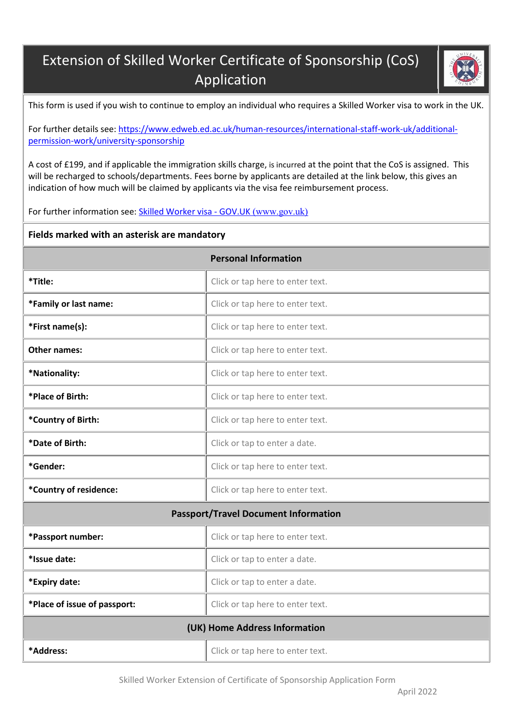## Extension of Skilled Worker Certificate of Sponsorship (CoS) Application



This form is used if you wish to continue to employ an individual who requires a Skilled Worker visa to work in the UK.

For further details see: [https://www.edweb.ed.ac.uk/human-resources/international-staff-work-uk/additional](https://www.edweb.ed.ac.uk/human-resources/international-staff-work-uk/additional-permission-work/university-sponsorship)[permission-work/university-sponsorship](https://www.edweb.ed.ac.uk/human-resources/international-staff-work-uk/additional-permission-work/university-sponsorship)

A cost of £199, and if applicable the immigration skills charge, is incurred at the point that the CoS is assigned. This will be recharged to schools/departments. Fees borne by applicants are detailed at the link below, this gives an indication of how much will be claimed by applicants via the visa fee reimbursement process.

For further information see: [Skilled Worker visa -](https://www.gov.uk/skilled-worker-visa) GOV.UK (www.gov.uk)

## **Fields marked with an asterisk are mandatory**

| <b>Personal Information</b>                 |                                  |  |  |
|---------------------------------------------|----------------------------------|--|--|
| *Title:                                     | Click or tap here to enter text. |  |  |
| *Family or last name:                       | Click or tap here to enter text. |  |  |
| *First name(s):                             | Click or tap here to enter text. |  |  |
| Other names:                                | Click or tap here to enter text. |  |  |
| *Nationality:                               | Click or tap here to enter text. |  |  |
| *Place of Birth:                            | Click or tap here to enter text. |  |  |
| *Country of Birth:                          | Click or tap here to enter text. |  |  |
| *Date of Birth:                             | Click or tap to enter a date.    |  |  |
| *Gender:                                    | Click or tap here to enter text. |  |  |
| *Country of residence:                      | Click or tap here to enter text. |  |  |
| <b>Passport/Travel Document Information</b> |                                  |  |  |
| *Passport number:                           | Click or tap here to enter text. |  |  |
| *Issue date:                                | Click or tap to enter a date.    |  |  |
| *Expiry date:                               | Click or tap to enter a date.    |  |  |
| *Place of issue of passport:                | Click or tap here to enter text. |  |  |
| (UK) Home Address Information               |                                  |  |  |
| *Address:                                   | Click or tap here to enter text. |  |  |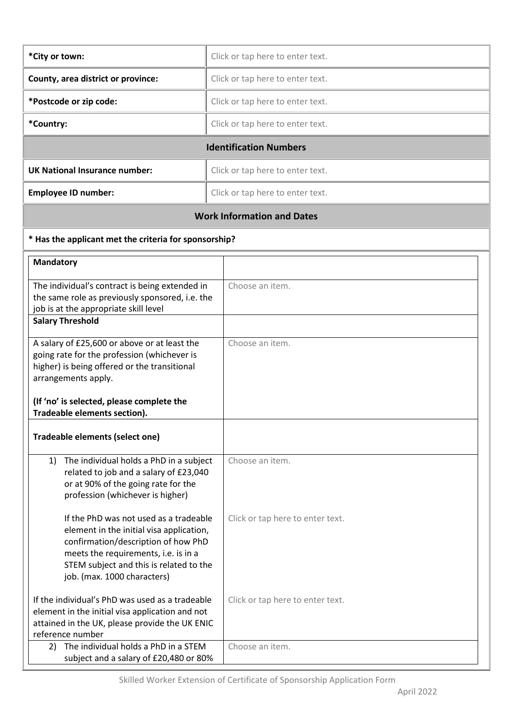| *City or town:                                                           | Click or tap here to enter text. |  |
|--------------------------------------------------------------------------|----------------------------------|--|
| County, area district or province:<br>Click or tap here to enter text.   |                                  |  |
| *Postcode or zip code:                                                   | Click or tap here to enter text. |  |
| *Country:                                                                | Click or tap here to enter text. |  |
| <b>Identification Numbers</b>                                            |                                  |  |
| <b>UK National Insurance number:</b><br>Click or tap here to enter text. |                                  |  |
|                                                                          |                                  |  |
| <b>Employee ID number:</b>                                               | Click or tap here to enter text. |  |

## **\* Has the applicant met the criteria for sponsorship?**

| <b>Mandatory</b>                                                                                                                                                                                                                            |                                  |
|---------------------------------------------------------------------------------------------------------------------------------------------------------------------------------------------------------------------------------------------|----------------------------------|
| The individual's contract is being extended in<br>the same role as previously sponsored, i.e. the<br>job is at the appropriate skill level                                                                                                  | Choose an item.                  |
| <b>Salary Threshold</b>                                                                                                                                                                                                                     |                                  |
| A salary of £25,600 or above or at least the<br>going rate for the profession (whichever is<br>higher) is being offered or the transitional<br>arrangements apply.                                                                          | Choose an item.                  |
| (If 'no' is selected, please complete the<br>Tradeable elements section).                                                                                                                                                                   |                                  |
| Tradeable elements (select one)                                                                                                                                                                                                             |                                  |
| 1) The individual holds a PhD in a subject<br>related to job and a salary of £23,040<br>or at 90% of the going rate for the<br>profession (whichever is higher)                                                                             | Choose an item.                  |
| If the PhD was not used as a tradeable<br>element in the initial visa application,<br>confirmation/description of how PhD<br>meets the requirements, i.e. is in a<br>STEM subject and this is related to the<br>job. (max. 1000 characters) | Click or tap here to enter text. |
| If the individual's PhD was used as a tradeable<br>element in the initial visa application and not<br>attained in the UK, please provide the UK ENIC<br>reference number                                                                    | Click or tap here to enter text. |
| 2) The individual holds a PhD in a STEM<br>subject and a salary of £20,480 or 80%                                                                                                                                                           | Choose an item.                  |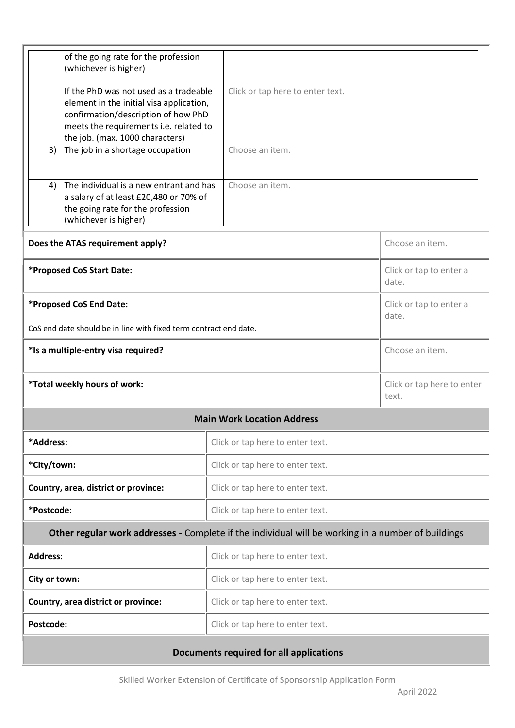| of the going rate for the profession<br>(whichever is higher)<br>If the PhD was not used as a tradeable<br>element in the initial visa application,<br>confirmation/description of how PhD<br>meets the requirements i.e. related to<br>the job. (max. 1000 characters)<br>The job in a shortage occupation<br>3) | Click or tap here to enter text.<br>Choose an item. |                                     |  |
|-------------------------------------------------------------------------------------------------------------------------------------------------------------------------------------------------------------------------------------------------------------------------------------------------------------------|-----------------------------------------------------|-------------------------------------|--|
| The individual is a new entrant and has<br>4)<br>a salary of at least £20,480 or 70% of<br>the going rate for the profession<br>(whichever is higher)                                                                                                                                                             | Choose an item.                                     |                                     |  |
| Does the ATAS requirement apply?                                                                                                                                                                                                                                                                                  |                                                     | Choose an item.                     |  |
| *Proposed CoS Start Date:                                                                                                                                                                                                                                                                                         |                                                     | Click or tap to enter a<br>date.    |  |
| *Proposed CoS End Date:<br>CoS end date should be in line with fixed term contract end date.                                                                                                                                                                                                                      |                                                     | Click or tap to enter a<br>date.    |  |
| *Is a multiple-entry visa required?                                                                                                                                                                                                                                                                               |                                                     | Choose an item.                     |  |
| *Total weekly hours of work:                                                                                                                                                                                                                                                                                      |                                                     | Click or tap here to enter<br>text. |  |
|                                                                                                                                                                                                                                                                                                                   | <b>Main Work Location Address</b>                   |                                     |  |
| *Address:                                                                                                                                                                                                                                                                                                         | Click or tap here to enter text.                    |                                     |  |
| *City/town:                                                                                                                                                                                                                                                                                                       | Click or tap here to enter text.                    |                                     |  |
| Country, area, district or province:                                                                                                                                                                                                                                                                              | Click or tap here to enter text.                    |                                     |  |
| *Postcode:                                                                                                                                                                                                                                                                                                        | Click or tap here to enter text.                    |                                     |  |
| Other regular work addresses - Complete if the individual will be working in a number of buildings                                                                                                                                                                                                                |                                                     |                                     |  |
| <b>Address:</b>                                                                                                                                                                                                                                                                                                   | Click or tap here to enter text.                    |                                     |  |
| City or town:                                                                                                                                                                                                                                                                                                     | Click or tap here to enter text.                    |                                     |  |
| Country, area district or province:                                                                                                                                                                                                                                                                               | Click or tap here to enter text.                    |                                     |  |
| Postcode:                                                                                                                                                                                                                                                                                                         | Click or tap here to enter text.                    |                                     |  |
| Documents required for all applications                                                                                                                                                                                                                                                                           |                                                     |                                     |  |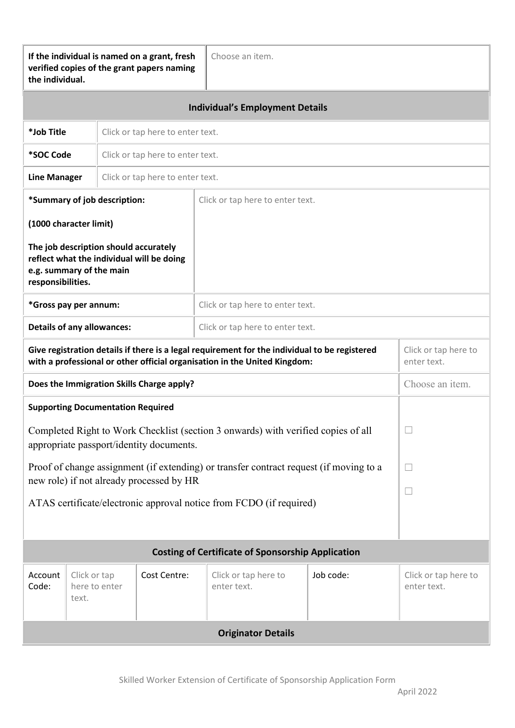| If the individual is named on a grant, fresh<br>Choose an item.<br>verified copies of the grant papers naming<br>the individual.                                           |                                                                                                                |              |                                     |           |                                     |
|----------------------------------------------------------------------------------------------------------------------------------------------------------------------------|----------------------------------------------------------------------------------------------------------------|--------------|-------------------------------------|-----------|-------------------------------------|
| <b>Individual's Employment Details</b>                                                                                                                                     |                                                                                                                |              |                                     |           |                                     |
|                                                                                                                                                                            | *Job Title<br>Click or tap here to enter text.                                                                 |              |                                     |           |                                     |
|                                                                                                                                                                            | *SOC Code<br>Click or tap here to enter text.                                                                  |              |                                     |           |                                     |
|                                                                                                                                                                            | <b>Line Manager</b><br>Click or tap here to enter text.                                                        |              |                                     |           |                                     |
| *Summary of job description:<br>Click or tap here to enter text.                                                                                                           |                                                                                                                |              |                                     |           |                                     |
|                                                                                                                                                                            | (1000 character limit)                                                                                         |              |                                     |           |                                     |
| responsibilities.                                                                                                                                                          | The job description should accurately<br>reflect what the individual will be doing<br>e.g. summary of the main |              |                                     |           |                                     |
|                                                                                                                                                                            | *Gross pay per annum:                                                                                          |              | Click or tap here to enter text.    |           |                                     |
|                                                                                                                                                                            | <b>Details of any allowances:</b><br>Click or tap here to enter text.                                          |              |                                     |           |                                     |
| Give registration details if there is a legal requirement for the individual to be registered<br>with a professional or other official organisation in the United Kingdom: |                                                                                                                |              | Click or tap here to<br>enter text. |           |                                     |
| Does the Immigration Skills Charge apply?                                                                                                                                  |                                                                                                                |              | Choose an item.                     |           |                                     |
| <b>Supporting Documentation Required</b>                                                                                                                                   |                                                                                                                |              |                                     |           |                                     |
| Completed Right to Work Checklist (section 3 onwards) with verified copies of all<br>appropriate passport/identity documents.                                              |                                                                                                                |              | $\Box$                              |           |                                     |
| Proof of change assignment (if extending) or transfer contract request (if moving to a                                                                                     |                                                                                                                |              |                                     |           |                                     |
| new role) if not already processed by HR                                                                                                                                   |                                                                                                                |              | $\Box$                              |           |                                     |
| ATAS certificate/electronic approval notice from FCDO (if required)                                                                                                        |                                                                                                                |              |                                     |           |                                     |
| <b>Costing of Certificate of Sponsorship Application</b>                                                                                                                   |                                                                                                                |              |                                     |           |                                     |
| Account<br>Code:                                                                                                                                                           | Click or tap<br>here to enter<br>text.                                                                         | Cost Centre: | Click or tap here to<br>enter text. | Job code: | Click or tap here to<br>enter text. |
| <b>Originator Details</b>                                                                                                                                                  |                                                                                                                |              |                                     |           |                                     |